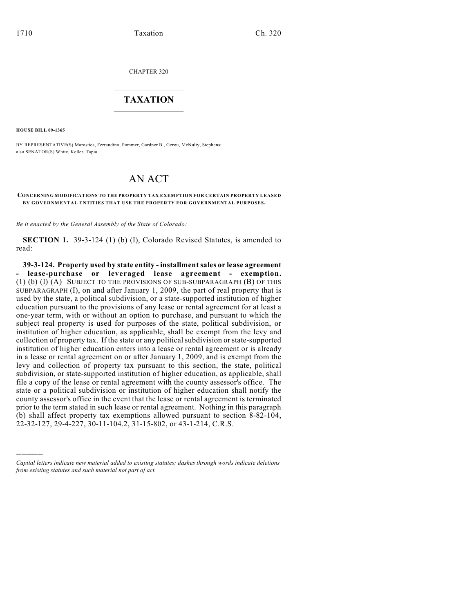CHAPTER 320

## $\overline{\phantom{a}}$  . The set of the set of the set of the set of the set of the set of the set of the set of the set of the set of the set of the set of the set of the set of the set of the set of the set of the set of the set o **TAXATION**  $\_$

**HOUSE BILL 09-1365**

)))))

BY REPRESENTATIVE(S) Marostica, Ferrandino, Pommer, Gardner B., Gerou, McNulty, Stephens; also SENATOR(S) White, Keller, Tapia.

## AN ACT

## **CONCERNING MODIFICATIONS TO THE PROPERTY TAX EXEMPTION FOR CERTAIN PROPERTY LEASED BY GOVERNM ENTAL ENTITIES THAT USE THE PROPERTY FOR GOVERNMENTAL PURPOSES.**

*Be it enacted by the General Assembly of the State of Colorado:*

**SECTION 1.** 39-3-124 (1) (b) (I), Colorado Revised Statutes, is amended to read:

**39-3-124. Property used by state entity - installment sales or lease agreement - lease-purchase or leveraged lease agreement - exemption.** (1) (b) (I) (A) SUBJECT TO THE PROVISIONS OF SUB-SUBPARAGRAPH (B) OF THIS SUBPARAGRAPH (I), on and after January 1, 2009, the part of real property that is used by the state, a political subdivision, or a state-supported institution of higher education pursuant to the provisions of any lease or rental agreement for at least a one-year term, with or without an option to purchase, and pursuant to which the subject real property is used for purposes of the state, political subdivision, or institution of higher education, as applicable, shall be exempt from the levy and collection of property tax. If the state or any political subdivision or state-supported institution of higher education enters into a lease or rental agreement or is already in a lease or rental agreement on or after January 1, 2009, and is exempt from the levy and collection of property tax pursuant to this section, the state, political subdivision, or state-supported institution of higher education, as applicable, shall file a copy of the lease or rental agreement with the county assessor's office. The state or a political subdivision or institution of higher education shall notify the county assessor's office in the event that the lease or rental agreement is terminated prior to the term stated in such lease or rental agreement. Nothing in this paragraph (b) shall affect property tax exemptions allowed pursuant to section 8-82-104, 22-32-127, 29-4-227, 30-11-104.2, 31-15-802, or 43-1-214, C.R.S.

*Capital letters indicate new material added to existing statutes; dashes through words indicate deletions from existing statutes and such material not part of act.*